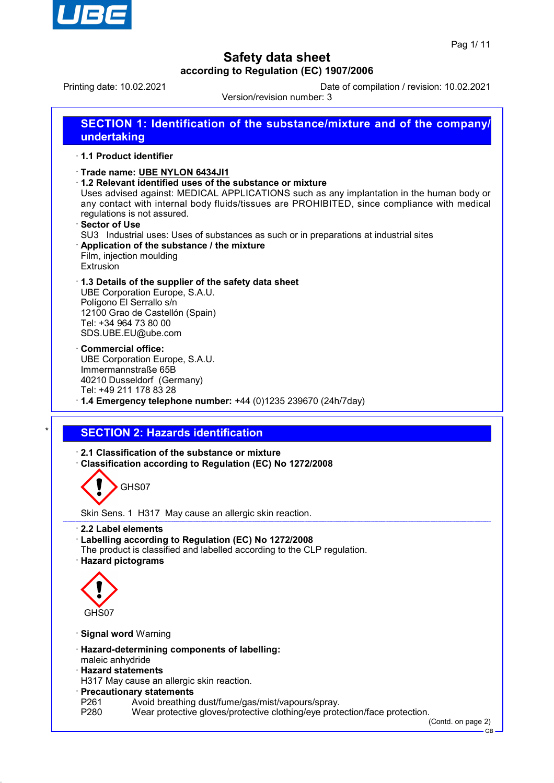

Printing date: 10.02.2021 Date of compilation / revision: 10.02.2021

Version/revision number: 3 **SECTION 1: Identification of the substance/mixture and of the company/ undertaking** · **1.1 Product identifier** · **Trade name: UBE NYLON 6434JI1** · **1.2 Relevant identified uses of the substance or mixture** Uses advised against: MEDICAL APPLICATIONS such as any implantation in the human body or any contact with internal body fluids/tissues are PROHIBITED, since compliance with medical regulations is not assured. · **Sector of Use** SU3 Industrial uses: Uses of substances as such or in preparations at industrial sites · **Application of the substance / the mixture** Film, injection moulding Extrusion · **1.3 Details of the supplier of the safety data sheet** UBE Corporation Europe, S.A.U. Polígono El Serrallo s/n 12100 Grao de Castellón (Spain) Tel: +34 964 73 80 00 SDS.UBE.EU@ube.com · **Commercial office:** UBE Corporation Europe, S.A.U. Immermannstraße 65B 40210 Dusseldorf (Germany) Tel: +49 211 178 83 28 · **1.4 Emergency telephone number:** +44 (0)1235 239670 (24h/7day) **SECTION 2: Hazards identification** · **2.1 Classification of the substance or mixture** · **Classification according to Regulation (EC) No 1272/2008** GHS07 Skin Sens. 1 H317 May cause an allergic skin reaction. · **2.2 Label elements** · **Labelling according to Regulation (EC) No 1272/2008** The product is classified and labelled according to the CLP regulation. · **Hazard pictograms** GHS07 · **Signal word** Warning

- · **Hazard-determining components of labelling:**
- maleic anhydride
- · **Hazard statements**
- H317 May cause an allergic skin reaction.
- · **Precautionary statements**
- P261 Avoid breathing dust/fume/gas/mist/vapours/spray.<br>P280 Wear protective gloves/protective clothing/eve prote
- Wear protective gloves/protective clothing/eye protection/face protection.

(Contd. on page 2)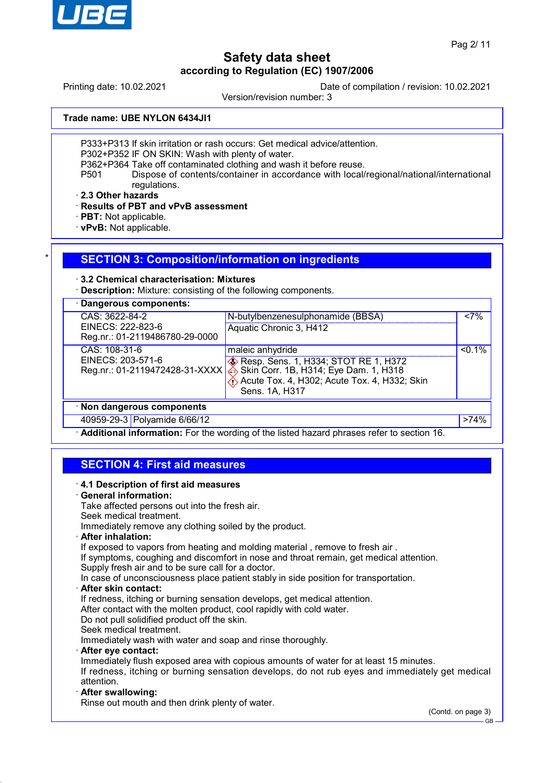

Printing date: 10.02.2021 Date of compilation / revision: 10.02.2021

Version/revision number: 3

**Trade name: UBE NYLON 6434JI1**

P333+P313 If skin irritation or rash occurs: Get medical advice/attention.

P302+P352 IF ON SKIN: Wash with plenty of water.

P362+P364 Take off contaminated clothing and wash it before reuse.

P501 Dispose of contents/container in accordance with local/regional/national/international regulations.

· **2.3 Other hazards**

· **Results of PBT and vPvB assessment**

- · **PBT:** Not applicable.
- · **vPvB:** Not applicable.

### **SECTION 3: Composition/information on ingredients**

#### · **3.2 Chemical characterisation: Mixtures**

**Description:** Mixture: consisting of the following components.

| · Dangerous components:                                               |                                                                                                                                                                                                                     |           |
|-----------------------------------------------------------------------|---------------------------------------------------------------------------------------------------------------------------------------------------------------------------------------------------------------------|-----------|
| CAS: 3622-84-2<br>EINECS: 222-823-6<br>Reg.nr.: 01-2119486780-29-0000 | N-butylbenzenesulphonamide (BBSA)<br>Aquatic Chronic 3, H412                                                                                                                                                        | $< 7\%$   |
| CAS: 108-31-6<br>EINECS: 203-571-6<br>Reg.nr.: 01-2119472428-31-XXXX  | maleic anhydride<br><b>EXAMPLE 25 PRESS</b> Resp. Sens. 1, H334; STOT RE 1, H372<br>$\hat{\Leftrightarrow}$ Skin Corr. 1B, H314; Eye Dam. 1, H318<br>Acute Tox. 4, H302; Acute Tox. 4, H332; Skin<br>Sens. 1A, H317 | $< 0.1\%$ |
| · Non dangerous components                                            |                                                                                                                                                                                                                     |           |
| 40959-29-3 Polyamide 6/66/12                                          |                                                                                                                                                                                                                     | $>74\%$   |

· **Additional information:** For the wording of the listed hazard phrases refer to section 16.

## **SECTION 4: First aid measures**

· **4.1 Description of first aid measures** · **General information:** Take affected persons out into the fresh air. Seek medical treatment. Immediately remove any clothing soiled by the product. · **After inhalation:** If exposed to vapors from heating and molding material, remove to fresh air. If symptoms, coughing and discomfort in nose and throat remain, get medical attention. Supply fresh air and to be sure call for a doctor. In case of unconsciousness place patient stably in side position for transportation. · **After skin contact:** If redness, itching or burning sensation develops, get medical attention. After contact with the molten product, cool rapidly with cold water. Do not pull solidified product off the skin. Seek medical treatment. Immediately wash with water and soap and rinse thoroughly. · **After eye contact:** Immediately flush exposed area with copious amounts of water for at least 15 minutes. If redness, itching or burning sensation develops, do not rub eyes and immediately get medical attention. · **After swallowing:** Rinse out mouth and then drink plenty of water. (Contd. on page 3)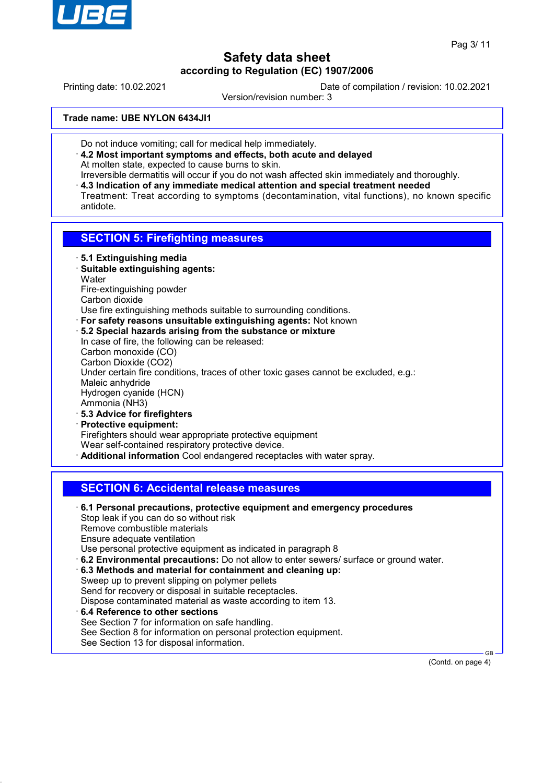

Printing date: 10.02.2021 Date of compilation / revision: 10.02.2021

Version/revision number: 3

**Trade name: UBE NYLON 6434JI1**

- Do not induce vomiting; call for medical help immediately.
- · **4.2 Most important symptoms and effects, both acute and delayed** At molten state, expected to cause burns to skin.
- Irreversible dermatitis will occur if you do not wash affected skin immediately and thoroughly. · **4.3 Indication of any immediate medical attention and special treatment needed**
- Treatment: Treat according to symptoms (decontamination, vital functions), no known specific antidote.

## **SECTION 5: Firefighting measures**

- · **5.1 Extinguishing media**
- · **Suitable extinguishing agents: Water** Fire-extinguishing powder Carbon dioxide
- Use fire extinguishing methods suitable to surrounding conditions.
- · **For safety reasons unsuitable extinguishing agents:** Not known
- · **5.2 Special hazards arising from the substance or mixture** In case of fire, the following can be released: Carbon monoxide (CO) Carbon Dioxide (CO2) Under certain fire conditions, traces of other toxic gases cannot be excluded, e.g.: Maleic anhydride Hydrogen cyanide (HCN) Ammonia (NH3) · **5.3 Advice for firefighters**
- · **Protective equipment:** Firefighters should wear appropriate protective equipment Wear self-contained respiratory protective device. · **Additional information** Cool endangered receptacles with water spray.

## **SECTION 6: Accidental release measures**

· **6.1 Personal precautions, protective equipment and emergency procedures** Stop leak if you can do so without risk Remove combustible materials Ensure adequate ventilation Use personal protective equipment as indicated in paragraph 8 · **6.2 Environmental precautions:** Do not allow to enter sewers/ surface or ground water. · **6.3 Methods and material for containment and cleaning up:** Sweep up to prevent slipping on polymer pellets Send for recovery or disposal in suitable receptacles. Dispose contaminated material as waste according to item 13. · **6.4 Reference to other sections** See Section 7 for information on safe handling. See Section 8 for information on personal protection equipment. See Section 13 for disposal information.

(Contd. on page 4)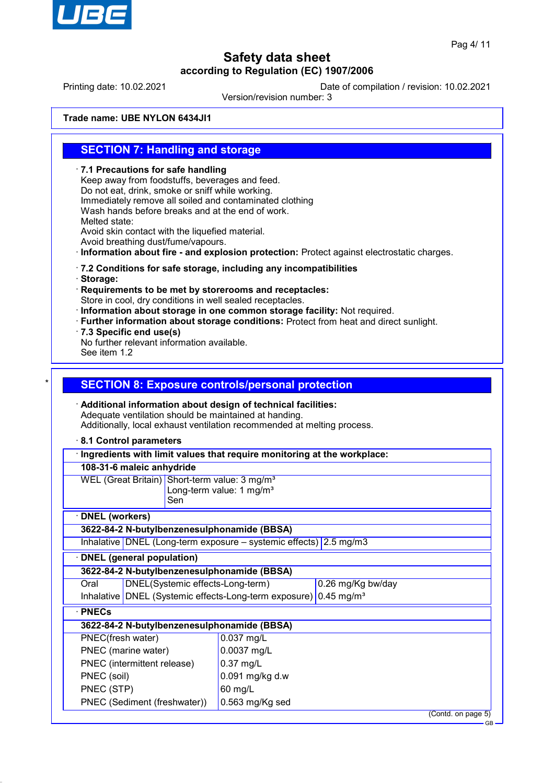

Printing date: 10.02.2021 Date of compilation / revision: 10.02.2021

Version/revision number: 3

**Trade name: UBE NYLON 6434JI1**

## **SECTION 7: Handling and storage**

· **7.1 Precautions for safe handling** Keep away from foodstuffs, beverages and feed. Do not eat, drink, smoke or sniff while working. Immediately remove all soiled and contaminated clothing Wash hands before breaks and at the end of work. Melted state: Avoid skin contact with the liquefied material. Avoid breathing dust/fume/vapours. · **Information about fire - and explosion protection:** Protect against electrostatic charges. · **7.2 Conditions for safe storage, including any incompatibilities** · **Storage:** · **Requirements to be met by storerooms and receptacles:** Store in cool, dry conditions in well sealed receptacles. · **Information about storage in one common storage facility:** Not required. · **Further information about storage conditions:** Protect from heat and direct sunlight. · **7.3 Specific end use(s)** No further relevant information available. See item 1.2 **SECTION 8: Exposure controls/personal protection** · **Additional information about design of technical facilities:** Adequate ventilation should be maintained at handing. Additionally, local exhaust ventilation recommended at melting process. · **8.1 Control parameters** · **Ingredients with limit values that require monitoring at the workplace: 108-31-6 maleic anhydride** WEL (Great Britain) Short-term value: 3 mg/m<sup>3</sup> Long-term value: 1 mg/m $3$ Sen · **DNEL (workers) 3622-84-2 N-butylbenzenesulphonamide (BBSA)** Inhalative DNEL (Long-term exposure – systemic effects) 2.5 mg/m3 · **DNEL (general population) 3622-84-2 N-butylbenzenesulphonamide (BBSA)** Oral DNEL(Systemic effects-Long-term) 0.26 mg/Kg bw/day Inhalative DNEL (Systemic effects-Long-term exposure) 0.45 mg/m<sup>3</sup> · **PNECs 3622-84-2 N-butylbenzenesulphonamide (BBSA)** PNEC(fresh water) 0.037 mg/L PNEC (marine water) 0.0037 mg/L PNEC (intermittent release) | 0.37 mg/L PNEC (soil)  $\vert$  0.091 mg/kg d.w PNEC (STP) 60 mg/L PNEC (Sediment (freshwater)) 0.563 mg/Kg sed (Contd. on page 5)

GB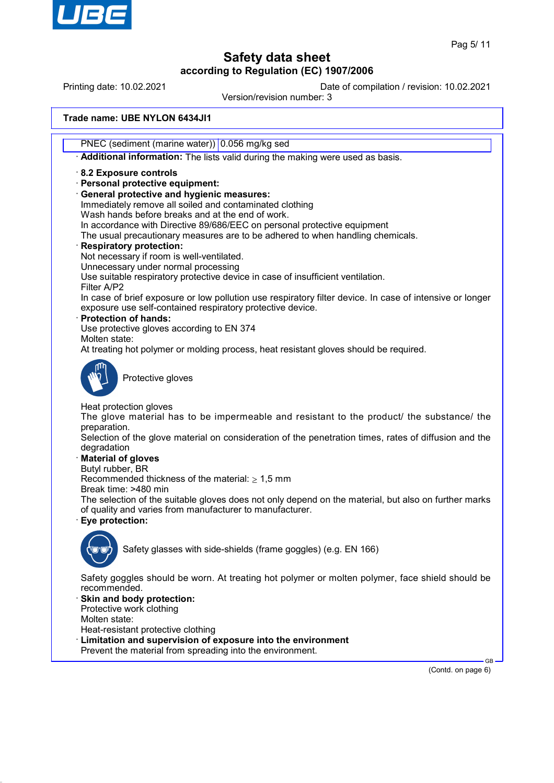

Printing date: 10.02.2021 Date of compilation / revision: 10.02.2021

Version/revision number: 3

**Trade name: UBE NYLON 6434JI1**

PNEC (sediment (marine water)) 0.056 mg/kg sed

· **Additional information:** The lists valid during the making were used as basis.

· **8.2 Exposure controls**

· **Personal protective equipment:**

· **General protective and hygienic measures:**

Immediately remove all soiled and contaminated clothing Wash hands before breaks and at the end of work.

In accordance with Directive 89/686/EEC on personal protective equipment

The usual precautionary measures are to be adhered to when handling chemicals.

#### · **Respiratory protection:**

Not necessary if room is well-ventilated.

Unnecessary under normal processing

Use suitable respiratory protective device in case of insufficient ventilation.

Filter A/P2 In case of brief exposure or low pollution use respiratory filter device. In case of intensive or longer exposure use self-contained respiratory protective device.

· **Protection of hands:**

Use protective gloves according to EN 374

Molten state:

At treating hot polymer or molding process, heat resistant gloves should be required.



Protective gloves

Heat protection gloves

The glove material has to be impermeable and resistant to the product/ the substance/ the preparation.

Selection of the glove material on consideration of the penetration times, rates of diffusion and the degradation

#### · **Material of gloves**

Butyl rubber, BR

Recommended thickness of the material:  $\geq 1.5$  mm

Break time: >480 min

The selection of the suitable gloves does not only depend on the material, but also on further marks of quality and varies from manufacturer to manufacturer.

· **Eye protection:**



Safety glasses with side-shields (frame goggles) (e.g. EN 166)

Safety goggles should be worn. At treating hot polymer or molten polymer, face shield should be recommended.

Skin and body protection: Protective work clothing

Molten state:

Heat-resistant protective clothing

- Limitation and supervision of exposure into the environment
- Prevent the material from spreading into the environment.

(Contd. on page 6)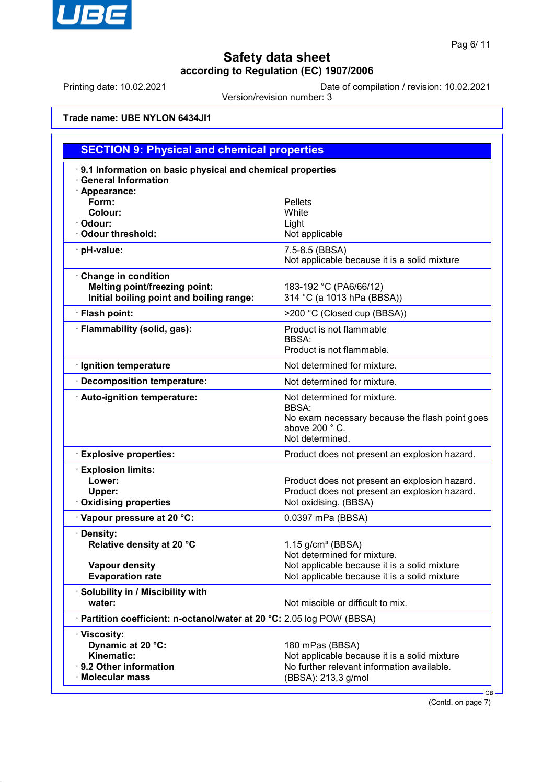

Printing date: 10.02.2021 Date of compilation / revision: 10.02.2021

Version/revision number: 3

**Trade name: UBE NYLON 6434JI1**

| <b>SECTION 9: Physical and chemical properties</b>                                                      |                                                                                                                                      |  |  |  |
|---------------------------------------------------------------------------------------------------------|--------------------------------------------------------------------------------------------------------------------------------------|--|--|--|
| 9.1 Information on basic physical and chemical properties<br><b>General Information</b>                 |                                                                                                                                      |  |  |  |
| · Appearance:<br>Form:<br>Colour:<br>· Odour:<br>· Odour threshold:                                     | <b>Pellets</b><br>White<br>Light<br>Not applicable                                                                                   |  |  |  |
| · pH-value:                                                                                             | 7.5-8.5 (BBSA)<br>Not applicable because it is a solid mixture                                                                       |  |  |  |
| Change in condition<br><b>Melting point/freezing point:</b><br>Initial boiling point and boiling range: | 183-192 °C (PA6/66/12)<br>314 °C (a 1013 hPa (BBSA))                                                                                 |  |  |  |
| · Flash point:                                                                                          | >200 °C (Closed cup (BBSA))                                                                                                          |  |  |  |
| · Flammability (solid, gas):                                                                            | Product is not flammable<br><b>BBSA:</b><br>Product is not flammable.                                                                |  |  |  |
| · Ignition temperature                                                                                  | Not determined for mixture.                                                                                                          |  |  |  |
| · Decomposition temperature:                                                                            | Not determined for mixture.                                                                                                          |  |  |  |
| · Auto-ignition temperature:                                                                            | Not determined for mixture.<br><b>BBSA:</b><br>No exam necessary because the flash point goes<br>above 200 °C.<br>Not determined.    |  |  |  |
| <b>Explosive properties:</b>                                                                            | Product does not present an explosion hazard.                                                                                        |  |  |  |
| <b>Explosion limits:</b><br>Lower:<br>Upper:<br><b>Oxidising properties</b>                             | Product does not present an explosion hazard.<br>Product does not present an explosion hazard.<br>Not oxidising. (BBSA)              |  |  |  |
| Vapour pressure at 20 °C:                                                                               | 0.0397 mPa (BBSA)                                                                                                                    |  |  |  |
| · Density:<br>Relative density at 20 °C                                                                 | $1.15$ g/cm <sup>3</sup> (BBSA)<br>Not determined for mixture.                                                                       |  |  |  |
| <b>Vapour density</b><br><b>Evaporation rate</b>                                                        | Not applicable because it is a solid mixture<br>Not applicable because it is a solid mixture                                         |  |  |  |
| · Solubility in / Miscibility with<br>water:                                                            | Not miscible or difficult to mix.                                                                                                    |  |  |  |
| · Partition coefficient: n-octanol/water at 20 °C: 2.05 log POW (BBSA)                                  |                                                                                                                                      |  |  |  |
| · Viscosity:<br>Dynamic at 20 °C:<br>Kinematic:<br>· 9.2 Other information<br>· Molecular mass          | 180 mPas (BBSA)<br>Not applicable because it is a solid mixture<br>No further relevant information available.<br>(BBSA): 213,3 g/mol |  |  |  |

(Contd. on page 7)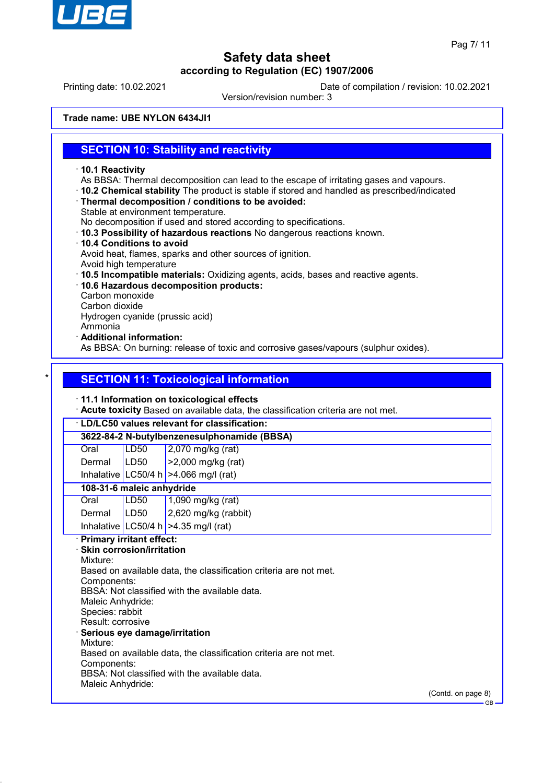

Printing date: 10.02.2021 Date of compilation / revision: 10.02.2021

Version/revision number: 3

**Trade name: UBE NYLON 6434JI1**

## **SECTION 10: Stability and reactivity**

- · **10.1 Reactivity**
- As BBSA: Thermal decomposition can lead to the escape of irritating gases and vapours.
- · **10.2 Chemical stability** The product is stable if stored and handled as prescribed/indicated
- · **Thermal decomposition / conditions to be avoided:**
- Stable at environment temperature.

No decomposition if used and stored according to specifications.

- · **10.3 Possibility of hazardous reactions** No dangerous reactions known.
- · **10.4 Conditions to avoid** Avoid heat, flames, sparks and other sources of ignition.
- Avoid high temperature
- · **10.5 Incompatible materials:** Oxidizing agents, acids, bases and reactive agents.
- · **10.6 Hazardous decomposition products:**
- Carbon monoxide
- Carbon dioxide

Hydrogen cyanide (prussic acid)

- Ammonia
- · **Additional information:**

As BBSA: On burning: release of toxic and corrosive gases/vapours (sulphur oxides).

## **SECTION 11: Toxicological information**

#### · **11.1 Information on toxicological effects**

· **Acute toxicity** Based on available data, the classification criteria are not met.

## · **LD/LC50 values relevant for classification: 3622-84-2 N-butylbenzenesulphonamide (BBSA)**

| Oral   | LD50 | $\vert$ 2,070 mg/kg (rat)  |
|--------|------|----------------------------|
| Dermal | LDS0 | $\vert$ >2,000 mg/kg (rat) |

Inhalative LC50/4 h  $>4.066$  mg/l (rat)

### **108-31-6 maleic anhydride**

| Oral            | LD50 | $1,090$ mg/kg (rat)                    |
|-----------------|------|----------------------------------------|
| Dermal $ LD50 $ |      | $2,620$ mg/kg (rabbit)                 |
|                 |      | Inhalative LC50/4 h $>4.35$ mg/l (rat) |

### · **Primary irritant effect:**

· **Skin corrosion/irritation** Mixture: Based on available data, the classification criteria are not met. Components: BBSA: Not classified with the available data. Maleic Anhydride: Species: rabbit Result: corrosive · **Serious eye damage/irritation** Mixture: Based on available data, the classification criteria are not met. Components: BBSA: Not classified with the available data. Maleic Anhydride:

(Contd. on page 8)

GB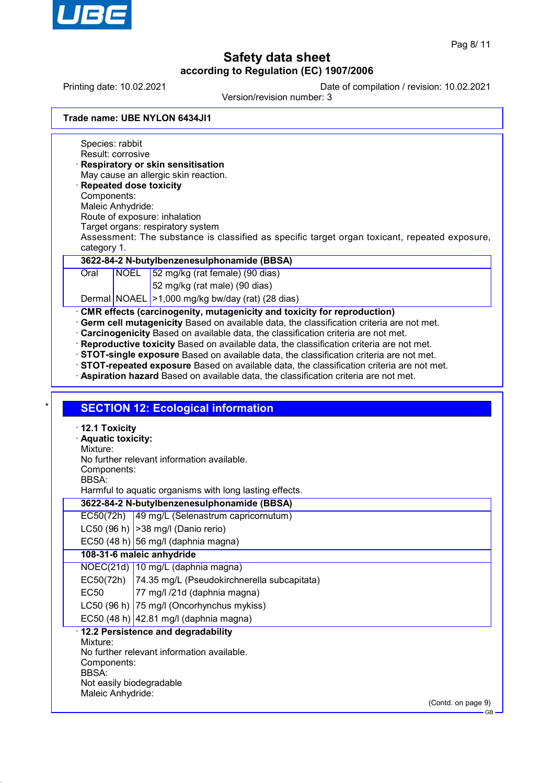

Printing date: 10.02.2021 Date of compilation / revision: 10.02.2021

Version/revision number: 3

| Trade name: UBE NYLON 6434JI1 |
|-------------------------------|
|-------------------------------|

Species: rabbit Result: corrosive · **Respiratory or skin sensitisation** May cause an allergic skin reaction. · **Repeated dose toxicity** Components: Maleic Anhydride: Route of exposure: inhalation Target organs: respiratory system Assessment: The substance is classified as specific target organ toxicant, repeated exposure, category 1. **3622-84-2 N-butylbenzenesulphonamide (BBSA)** Oral NOEL 52 mg/kg (rat female) (90 dias) 52 mg/kg (rat male) (90 dias) Dermal NOAEL >1,000 mg/kg bw/day (rat) (28 dias) · **CMR effects (carcinogenity, mutagenicity and toxicity for reproduction)** · **Germ cell mutagenicity** Based on available data, the classification criteria are not met. · **Carcinogenicity** Based on available data, the classification criteria are not met. · **Reproductive toxicity** Based on available data, the classification criteria are not met. · **STOT-single exposure** Based on available data, the classification criteria are not met. · **STOT-repeated exposure** Based on available data, the classification criteria are not met. · **Aspiration hazard** Based on available data, the classification criteria are not met. **SECTION 12: Ecological information** · **12.1 Toxicity** · **Aquatic toxicity:** Mixture: No further relevant information available. Components: BBSA: Harmful to aquatic organisms with long lasting effects. **3622-84-2 N-butylbenzenesulphonamide (BBSA)** EC50(72h) 49 mg/L (Selenastrum capricornutum) LC50 (96 h)  $|>$ 38 mg/l (Danio rerio) EC50 (48 h) 56 mg/l (daphnia magna) **108-31-6 maleic anhydride** NOEC(21d) 10 mg/L (daphnia magna) EC50(72h) 74.35 mg/L (Pseudokirchnerella subcapitata) EC50 77 mg/l /21d (daphnia magna) LC50 (96 h) 75 mg/l (Oncorhynchus mykiss) EC50 (48 h)  $|42.81 \text{ mg/}$  (daphnia magna) · **12.2 Persistence and degradability** Mixture: No further relevant information available. Components: BBSA: Not easily biodegradable Maleic Anhydride: (Contd. on page 9) GB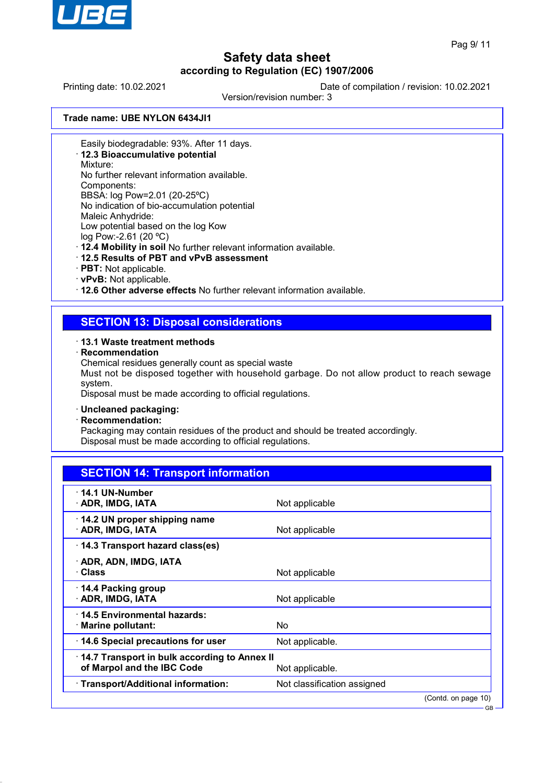

GB

# **Safety data sheet according to Regulation (EC) 1907/2006**

Printing date: 10.02.2021 Date of compilation / revision: 10.02.2021

Version/revision number: 3

**Trade name: UBE NYLON 6434JI1**

Easily biodegradable: 93%. After 11 days.

· **12.3 Bioaccumulative potential**

Mixture:

No further relevant information available.

Components:

BBSA: log Pow=2.01 (20-25ºC) No indication of bio-accumulation potential

Maleic Anhydride:

Low potential based on the log Kow

log Pow:-2.61 (20 ºC)

· **12.4 Mobility in soil** No further relevant information available.

- · **12.5 Results of PBT and vPvB assessment**
- · **PBT:** Not applicable.
- · **vPvB:** Not applicable.

· **12.6 Other adverse effects** No further relevant information available.

## **SECTION 13: Disposal considerations**

#### · **13.1 Waste treatment methods**

· **Recommendation**

Chemical residues generally count as special waste

Must not be disposed together with household garbage. Do not allow product to reach sewage system.

Disposal must be made according to official regulations.

#### · **Uncleaned packaging:**

· **Recommendation:**

Packaging may contain residues of the product and should be treated accordingly. Disposal must be made according to official regulations.

| <b>SECTION 14: Transport information</b>                                   |                             |                     |
|----------------------------------------------------------------------------|-----------------------------|---------------------|
| $\cdot$ 14.1 UN-Number<br>· ADR, IMDG, IATA                                | Not applicable              |                     |
| 14.2 UN proper shipping name<br>· ADR, IMDG, IATA                          | Not applicable              |                     |
| 14.3 Transport hazard class(es)                                            |                             |                     |
| · ADR, ADN, IMDG, IATA<br>· Class                                          | Not applicable              |                     |
| $\cdot$ 14.4 Packing group<br>· ADR, IMDG, IATA                            | Not applicable              |                     |
| · 14.5 Environmental hazards:<br>$\cdot$ Marine pollutant:                 | No                          |                     |
| 14.6 Special precautions for user                                          | Not applicable.             |                     |
| 14.7 Transport in bulk according to Annex II<br>of Marpol and the IBC Code | Not applicable.             |                     |
| · Transport/Additional information:                                        | Not classification assigned |                     |
|                                                                            |                             | (Contd. on page 10) |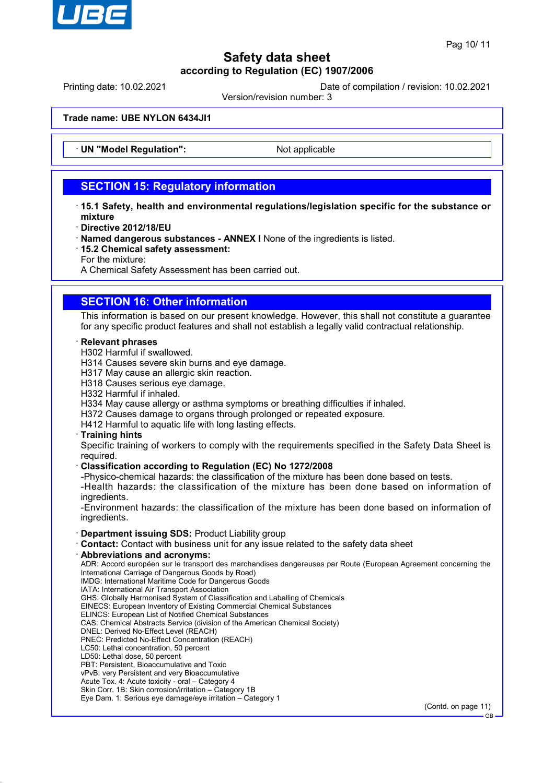

Printing date: 10.02.2021 Date of compilation / revision: 10.02.2021

Version/revision number: 3

**Trade name: UBE NYLON 6434JI1**

**UN "Model Regulation":** Not applicable

## **SECTION 15: Regulatory information**

- · **15.1 Safety, health and environmental regulations/legislation specific for the substance or mixture**
- · **Directive 2012/18/EU**
- · **Named dangerous substances ANNEX I** None of the ingredients is listed.
- · **15.2 Chemical safety assessment:**
- For the mixture:

A Chemical Safety Assessment has been carried out.

## **SECTION 16: Other information**

This information is based on our present knowledge. However, this shall not constitute a guarantee for any specific product features and shall not establish a legally valid contractual relationship.

#### · **Relevant phrases**

H302 Harmful if swallowed.

H314 Causes severe skin burns and eye damage.

H317 May cause an allergic skin reaction.

H318 Causes serious eye damage.

H332 Harmful if inhaled.

H334 May cause allergy or asthma symptoms or breathing difficulties if inhaled.

H372 Causes damage to organs through prolonged or repeated exposure.

H412 Harmful to aquatic life with long lasting effects.

#### · **Training hints**

Specific training of workers to comply with the requirements specified in the Safety Data Sheet is required.

#### · **Classification according to Regulation (EC) No 1272/2008**

-Physico-chemical hazards: the classification of the mixture has been done based on tests.

-Health hazards: the classification of the mixture has been done based on information of ingredients.

-Environment hazards: the classification of the mixture has been done based on information of ingredients.

#### · **Department issuing SDS:** Product Liability group

- · **Contact:** Contact with business unit for any issue related to the safety data sheet
- · **Abbreviations and acronyms:**

ADR: Accord européen sur le transport des marchandises dangereuses par Route (European Agreement concerning the International Carriage of Dangerous Goods by Road) IMDG: International Maritime Code for Dangerous Goods

IATA: International Air Transport Association

GHS: Globally Harmonised System of Classification and Labelling of Chemicals

EINECS: European Inventory of Existing Commercial Chemical Substances

ELINCS: European List of Notified Chemical Substances

CAS: Chemical Abstracts Service (division of the American Chemical Society)

- DNEL: Derived No-Effect Level (REACH)
- PNEC: Predicted No-Effect Concentration (REACH) LC50: Lethal concentration, 50 percent
- LD50: Lethal dose, 50 percent
- PBT: Persistent, Bioaccumulative and Toxic

vPvB: very Persistent and very Bioaccumulative

Acute Tox. 4: Acute toxicity - oral – Category 4

Skin Corr. 1B: Skin corrosion/irritation – Category 1B

Eye Dam. 1: Serious eye damage/eye irritation – Category 1

(Contd. on page 11)